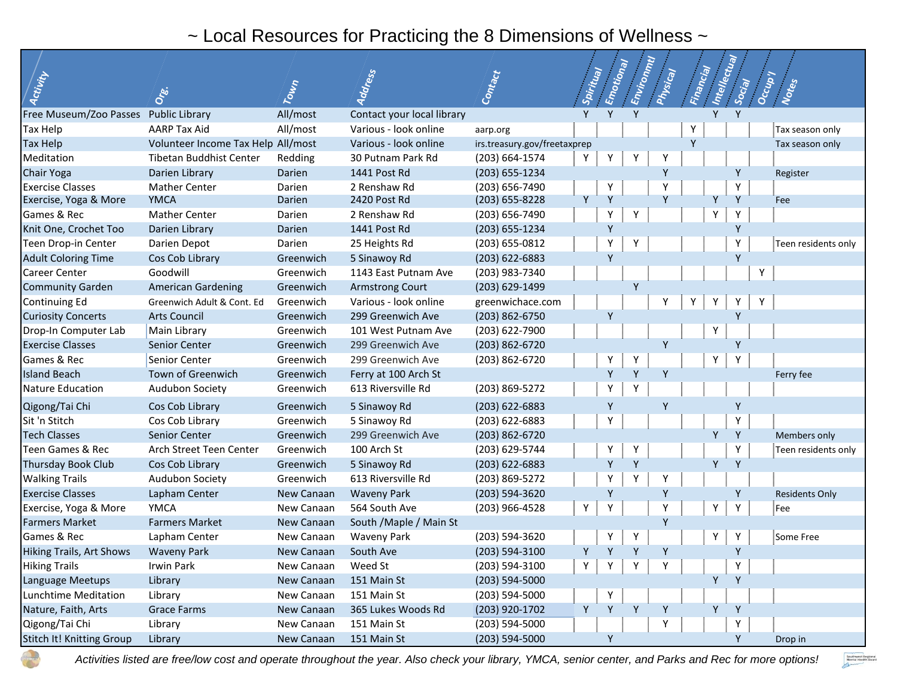## ~ Local Resources for Practicing the 8 Dimensions of Wellness ~

| Activity                              | Orei                               | Town       | Address                    | Contact                      | Spiritual     | Emotional | Environnul | Physical | Financial | Intellectual | Social | Occup | Notes                 |
|---------------------------------------|------------------------------------|------------|----------------------------|------------------------------|---------------|-----------|------------|----------|-----------|--------------|--------|-------|-----------------------|
| Free Museum/Zoo Passes Public Library |                                    | All/most   | Contact your local library |                              | Y             | Y         | Y          |          |           |              |        |       |                       |
| Tax Help                              | <b>AARP Tax Aid</b>                | All/most   | Various - look online      | aarp.org                     |               |           |            |          | Υ         |              |        |       | Tax season only       |
| Tax Help                              | Volunteer Income Tax Help All/most |            | Various - look online      | irs.treasury.gov/freetaxprep |               |           |            |          | Y         |              |        |       | Tax season only       |
| Meditation                            | Tibetan Buddhist Center            | Redding    | 30 Putnam Park Rd          | (203) 664-1574               | Y             | Y         | Y          |          |           |              |        |       |                       |
| Chair Yoga                            | Darien Library                     | Darien     | 1441 Post Rd               | (203) 655-1234               |               |           |            | ۷        |           |              |        |       | Register              |
| <b>Exercise Classes</b>               | <b>Mather Center</b>               | Darien     | 2 Renshaw Rd               | (203) 656-7490               |               | Υ         |            |          |           |              |        |       |                       |
| Exercise, Yoga & More                 | <b>YMCA</b>                        | Darien     | 2420 Post Rd               | (203) 655-8228               |               | γ         |            |          |           |              |        |       | Fee                   |
| Games & Rec                           | <b>Mather Center</b>               | Darien     | 2 Renshaw Rd               | (203) 656-7490               |               | Υ         | Υ          |          |           | Υ            | Υ      |       |                       |
| Knit One, Crochet Too                 | Darien Library                     | Darien     | 1441 Post Rd               | (203) 655-1234               |               | Y         |            |          |           |              | Y      |       |                       |
| Teen Drop-in Center                   | Darien Depot                       | Darien     | 25 Heights Rd              | (203) 655-0812               |               | Υ         | Y          |          |           |              | Y      |       | Teen residents only   |
| <b>Adult Coloring Time</b>            | Cos Cob Library                    | Greenwich  | 5 Sinawoy Rd               | (203) 622-6883               |               | Y         |            |          |           |              | Υ      |       |                       |
| Career Center                         | Goodwill                           | Greenwich  | 1143 East Putnam Ave       | (203) 983-7340               |               |           |            |          |           |              |        | Υ     |                       |
| <b>Community Garden</b>               | <b>American Gardening</b>          | Greenwich  | <b>Armstrong Court</b>     | (203) 629-1499               |               |           | Y          |          |           |              |        |       |                       |
| Continuing Ed                         | Greenwich Adult & Cont. Ed         | Greenwich  | Various - look online      | greenwichace.com             |               |           |            |          | Υ         |              |        | Υ     |                       |
| <b>Curiosity Concerts</b>             | <b>Arts Council</b>                | Greenwich  | 299 Greenwich Ave          | (203) 862-6750               |               | Y         |            |          |           |              |        |       |                       |
| Drop-In Computer Lab                  | Main Library                       | Greenwich  | 101 West Putnam Ave        | (203) 622-7900               |               |           |            |          |           |              |        |       |                       |
| <b>Exercise Classes</b>               | Senior Center                      | Greenwich  | 299 Greenwich Ave          | $(203) 862 - 6720$           |               |           |            | Y        |           |              |        |       |                       |
| Games & Rec                           | Senior Center                      | Greenwich  | 299 Greenwich Ave          | (203) 862-6720               |               | Y         | Υ          |          |           | Υ            | Y      |       |                       |
| <b>Island Beach</b>                   | Town of Greenwich                  | Greenwich  | Ferry at 100 Arch St       |                              |               | Y         | Y          | Y        |           |              |        |       | Ferry fee             |
| <b>Nature Education</b>               | Audubon Society                    | Greenwich  | 613 Riversville Rd         | (203) 869-5272               |               | Y         |            |          |           |              |        |       |                       |
| Qigong/Tai Chi                        | Cos Cob Library                    | Greenwich  | 5 Sinawoy Rd               | (203) 622-6883               |               | Υ         |            | Y        |           |              |        |       |                       |
| Sit 'n Stitch                         | Cos Cob Library                    | Greenwich  | 5 Sinawoy Rd               | $(203)$ 622-6883             |               | Y         |            |          |           |              | Y      |       |                       |
| <b>Tech Classes</b>                   | Senior Center                      | Greenwich  | 299 Greenwich Ave          | $(203) 862 - 6720$           |               |           |            |          |           | Υ            | Y      |       | <b>Members only</b>   |
| Teen Games & Rec                      | Arch Street Teen Center            | Greenwich  | 100 Arch St                | (203) 629-5744               |               | Y         | Y          |          |           |              | Υ      |       | Teen residents only   |
| Thursday Book Club                    | Cos Cob Library                    | Greenwich  | 5 Sinawoy Rd               | (203) 622-6883               |               | γ         | Y          |          |           |              |        |       |                       |
| <b>Walking Trails</b>                 | Audubon Society                    | Greenwich  | 613 Riversville Rd         | (203) 869-5272               |               |           |            |          |           |              |        |       |                       |
| <b>Exercise Classes</b>               | Lapham Center                      | New Canaan | <b>Waveny Park</b>         | (203) 594-3620               |               | γ         |            | Y        |           |              | Y      |       | <b>Residents Only</b> |
| Exercise, Yoga & More                 | <b>YMCA</b>                        | New Canaan | 564 South Ave              | (203) 966-4528               | Y             | Y         |            |          |           | Y            | Y      |       | Fee                   |
| <b>Farmers Market</b>                 | <b>Farmers Market</b>              | New Canaan | South /Maple / Main St     |                              |               |           |            | γ        |           |              |        |       |                       |
| Games & Rec                           | Lapham Center                      | New Canaan | <b>Waveny Park</b>         | (203) 594-3620               |               |           | Υ          |          |           |              |        |       | Some Free             |
| <b>Hiking Trails, Art Shows</b>       | <b>Waveny Park</b>                 | New Canaan | South Ave                  | (203) 594-3100               | Y             | Y         | Y          | γ        |           |              |        |       |                       |
| <b>Hiking Trails</b>                  | Irwin Park                         | New Canaan | Weed St                    | (203) 594-3100               | $Y \parallel$ | YY        |            | Y        |           |              | Y      |       |                       |
| Language Meetups                      | Library                            | New Canaan | 151 Main St                | $(203) 594 - 5000$           |               |           |            |          |           |              | Y      |       |                       |
| Lunchtime Meditation                  | Library                            | New Canaan | 151 Main St                | (203) 594-5000               |               | Y         |            |          |           |              |        |       |                       |
| Nature, Faith, Arts                   | <b>Grace Farms</b>                 | New Canaan | 365 Lukes Woods Rd         | (203) 920-1702               | Y             | Y         | Y          | Y        |           | Y            | Y      |       |                       |
| Qigong/Tai Chi                        | Library                            | New Canaan | 151 Main St                | (203) 594-5000               |               |           |            | Y.       |           |              | Υ      |       |                       |
| Stitch It! Knitting Group             | Library                            | New Canaan | 151 Main St                | $(203) 594 - 5000$           |               | Υ         |            |          |           |              | Y      |       | Drop in               |

*Activities listed are free/low cost and operate throughout the year. Also check your library, YMCA, senior center, and Parks and Rec for more options!*

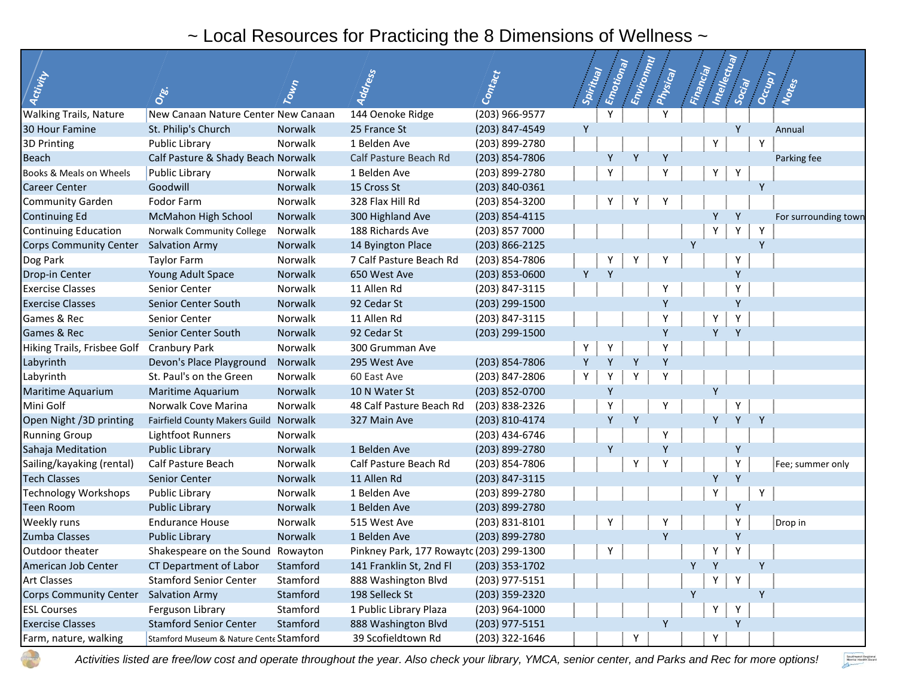## ~ Local Resources for Practicing the 8 Dimensions of Wellness ~

| Activity                                  |                                         |          | Address                                  | Contact          | Spiritual | Emotional | Emvironmu | Physical | Financial | Intellectual  |        | Occupy |                      |
|-------------------------------------------|-----------------------------------------|----------|------------------------------------------|------------------|-----------|-----------|-----------|----------|-----------|---------------|--------|--------|----------------------|
|                                           | Ore.                                    | Town     |                                          |                  |           |           |           |          |           |               | Social |        | Notes                |
| <b>Walking Trails, Nature</b>             | New Canaan Nature Center New Canaan     |          | 144 Oenoke Ridge                         | (203) 966-9577   |           | Y         |           |          |           |               |        |        |                      |
| 30 Hour Famine                            | St. Philip's Church                     | Norwalk  | 25 France St                             | (203) 847-4549   | Y         |           |           |          |           |               | Y      |        | Annual               |
| 3D Printing                               | Public Library                          | Norwalk  | 1 Belden Ave                             | (203) 899-2780   |           |           |           |          |           | Y             |        | Y      |                      |
| <b>Beach</b>                              | Calf Pasture & Shady Beach Norwalk      |          | Calf Pasture Beach Rd                    | (203) 854-7806   |           | γ         |           |          |           |               |        |        | Parking fee          |
| Books & Meals on Wheels                   | Public Library                          | Norwalk  | 1 Belden Ave                             | (203) 899-2780   |           | Y         |           |          |           | Y             | Y      |        |                      |
| <b>Career Center</b>                      | Goodwill                                | Norwalk  | 15 Cross St                              | (203) 840-0361   |           |           |           |          |           |               |        |        |                      |
| <b>Community Garden</b>                   | Fodor Farm                              | Norwalk  | 328 Flax Hill Rd                         | (203) 854-3200   |           | Υ         |           |          |           |               |        |        |                      |
| <b>Continuing Ed</b>                      | McMahon High School                     | Norwalk  | 300 Highland Ave                         | (203) 854-4115   |           |           |           |          |           |               | Y      |        | For surrounding town |
| <b>Continuing Education</b>               | Norwalk Community College               | Norwalk  | 188 Richards Ave                         | (203) 857 7000   |           |           |           |          |           |               | Y      | Υ      |                      |
| <b>Corps Community Center</b>             | <b>Salvation Army</b>                   | Norwalk  | 14 Byington Place                        | (203) 866-2125   |           |           |           |          | Y         |               |        | Y      |                      |
| Dog Park                                  | <b>Taylor Farm</b>                      | Norwalk  | 7 Calf Pasture Beach Rd                  | (203) 854-7806   |           |           |           |          |           |               | Υ      |        |                      |
| Drop-in Center                            | Young Adult Space                       | Norwalk  | 650 West Ave                             | $(203)$ 853-0600 | Y         | Y         |           |          |           |               | Y      |        |                      |
| <b>Exercise Classes</b>                   | Senior Center                           | Norwalk  | 11 Allen Rd                              | (203) 847-3115   |           |           |           |          |           |               | Y      |        |                      |
| <b>Exercise Classes</b>                   | Senior Center South                     | Norwalk  | 92 Cedar St                              | (203) 299-1500   |           |           |           |          |           |               | v      |        |                      |
| Games & Rec                               | Senior Center                           | Norwalk  | 11 Allen Rd                              | (203) 847-3115   |           |           |           |          |           | Υ             | Y      |        |                      |
| Games & Rec                               | Senior Center South                     | Norwalk  | 92 Cedar St                              | (203) 299-1500   |           |           |           |          |           |               |        |        |                      |
| Hiking Trails, Frisbee Golf Cranbury Park |                                         | Norwalk  | 300 Grumman Ave                          |                  | Y         |           |           |          |           |               |        |        |                      |
| Labyrinth                                 | Devon's Place Playground                | Norwalk  | 295 West Ave                             | (203) 854-7806   | Y         | ν         |           | Y        |           |               |        |        |                      |
| Labyrinth                                 | St. Paul's on the Green                 | Norwalk  | 60 East Ave                              | (203) 847-2806   | Υ         | Y         |           |          |           |               |        |        |                      |
| Maritime Aquarium                         | Maritime Aquarium                       | Norwalk  | 10 N Water St                            | (203) 852-0700   |           | γ         |           |          |           |               |        |        |                      |
| Mini Golf                                 | Norwalk Cove Marina                     | Norwalk  | 48 Calf Pasture Beach Rd                 | (203) 838-2326   |           |           |           |          |           |               |        |        |                      |
| Open Night /3D printing                   | Fairfield County Makers Guild           | Norwalk  | 327 Main Ave                             | (203) 810-4174   |           | Y         | Y         |          |           | Υ             |        |        |                      |
| <b>Running Group</b>                      | Lightfoot Runners                       | Norwalk  |                                          | (203) 434-6746   |           |           |           |          |           |               |        |        |                      |
| Sahaja Meditation                         | <b>Public Library</b>                   | Norwalk  | 1 Belden Ave                             | (203) 899-2780   |           | γ         |           |          |           |               | Υ      |        |                      |
| Sailing/kayaking (rental)                 | Calf Pasture Beach                      | Norwalk  | Calf Pasture Beach Rd                    | (203) 854-7806   |           |           | Υ         |          |           |               | Υ      |        | Fee; summer only     |
| <b>Tech Classes</b>                       | Senior Center                           | Norwalk  | 11 Allen Rd                              | (203) 847-3115   |           |           |           |          |           | Υ             | Y      |        |                      |
| Technology Workshops                      | Public Library                          | Norwalk  | 1 Belden Ave                             | (203) 899-2780   |           |           |           |          |           | Υ             |        |        |                      |
| Teen Room                                 | <b>Public Library</b>                   | Norwalk  | 1 Belden Ave                             | (203) 899-2780   |           |           |           |          |           |               | Y      |        |                      |
| Weekly runs                               | <b>Endurance House</b>                  | Norwalk  | 515 West Ave                             | (203) 831-8101   |           | Υ         |           |          |           |               |        |        | Drop in              |
| Zumba Classes                             | <b>Public Library</b>                   | Norwalk  | 1 Belden Ave                             | (203) 899-2780   |           |           |           |          |           |               | Y      |        |                      |
| Outdoor theater                           | Shakespeare on the Sound Rowayton       |          | Pinkney Park, 177 Rowaytc (203) 299-1300 |                  |           | Υ         |           |          |           | Υ             | Y      |        |                      |
| American Job Center                       | CT Department of Labor                  | Stamford | 141 Franklin St, 2nd Fl                  | (203) 353-1702   |           |           |           |          | Y         | Y             |        | Y      |                      |
| <b>Art Classes</b>                        | <b>Stamford Senior Center</b>           | Stamford | 888 Washington Blvd                      | (203) 977-5151   |           |           |           |          |           | Y             | Y      |        |                      |
| <b>Corps Community Center</b>             | <b>Salvation Army</b>                   | Stamford | 198 Selleck St                           | (203) 359-2320   |           |           |           |          | Y         |               |        | Y      |                      |
| <b>ESL Courses</b>                        | Ferguson Library                        | Stamford | 1 Public Library Plaza                   | (203) 964-1000   |           |           |           |          |           | $Y \parallel$ | Y      |        |                      |
| <b>Exercise Classes</b>                   | <b>Stamford Senior Center</b>           | Stamford | 888 Washington Blvd                      | $(203)$ 977-5151 |           |           |           | Y        |           |               | Y      |        |                      |
| Farm, nature, walking                     | Stamford Museum & Nature Cente Stamford |          | 39 Scofieldtown Rd                       | (203) 322-1646   |           |           | Υ         |          |           | Y             |        |        |                      |

*Activities listed are free/low cost and operate throughout the year. Also check your library, YMCA, senior center, and Parks and Rec for more options!*